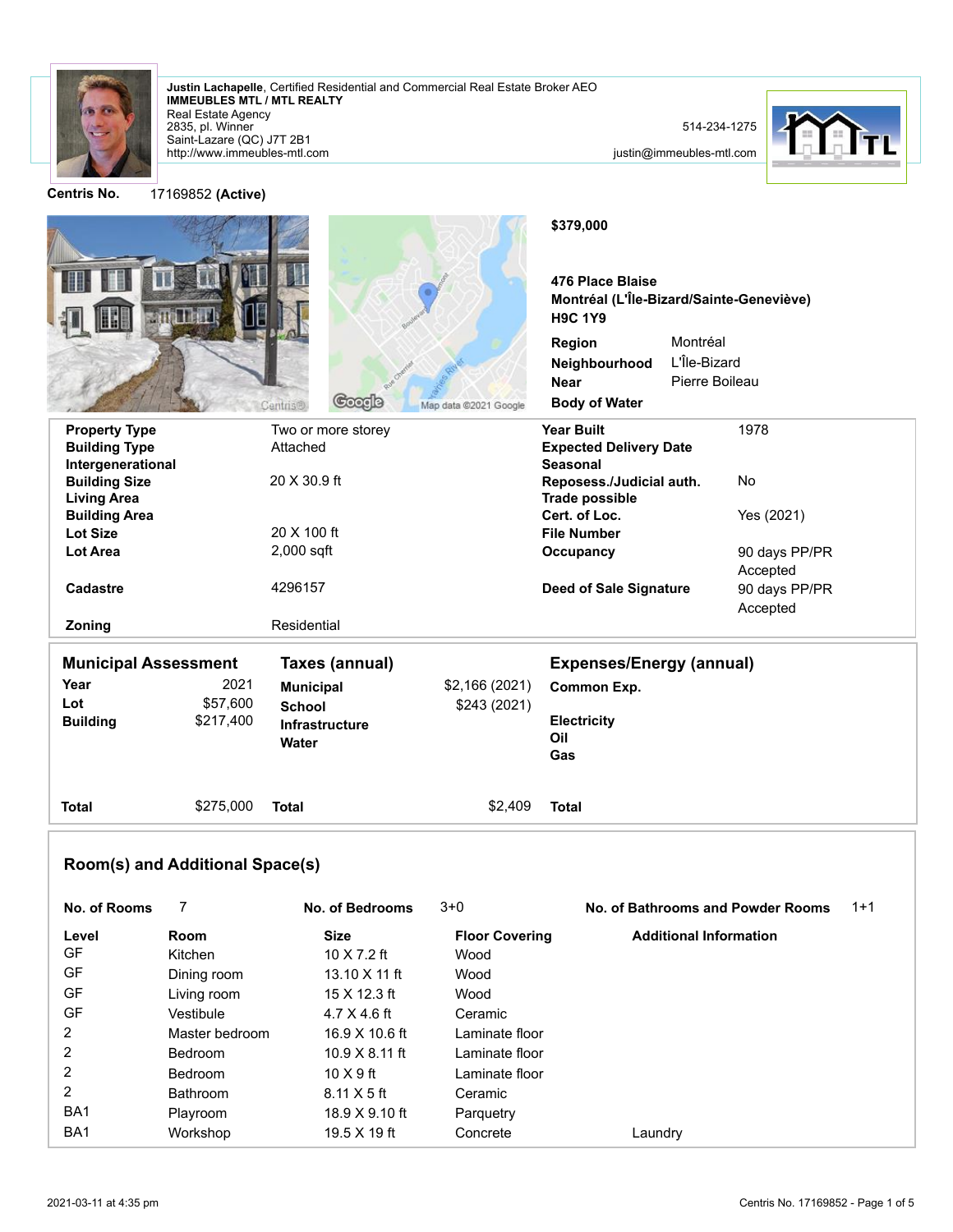

2835, pl. Winner Real Estate Agency **IMMEUBLES MTL / MTL REALTY Justin Lachapelle**, Certified Residential and Commercial Real Estate Broker AEO

http://www.immeubles-mtl.com Saint-Lazare (QC) J7T 2B1



justin@immeubles-mtl.com



**Centris No.** 17169852 **(Active)**

| <b>STATISTIC</b>                        | Coogle<br><b>Centris®</b> | Map data @2021 Google | \$379,000<br>476 Place Blaise<br>Montréal (L'Île-Bizard/Sainte-Geneviève)<br><b>H9C 1Y9</b><br>Region<br>Neighbourhood<br><b>Near</b><br><b>Body of Water</b> | Montréal<br>L'Île-Bizard<br>Pierre Boileau |               |
|-----------------------------------------|---------------------------|-----------------------|---------------------------------------------------------------------------------------------------------------------------------------------------------------|--------------------------------------------|---------------|
| <b>Property Type</b>                    | Two or more storey        |                       | <b>Year Built</b>                                                                                                                                             |                                            | 1978          |
| <b>Building Type</b>                    | Attached                  |                       | <b>Expected Delivery Date</b>                                                                                                                                 |                                            |               |
| Intergenerational                       |                           |                       | <b>Seasonal</b>                                                                                                                                               |                                            |               |
| <b>Building Size</b>                    | 20 X 30.9 ft              |                       | Reposess./Judicial auth.                                                                                                                                      |                                            | No            |
| <b>Living Area</b>                      |                           |                       | <b>Trade possible</b>                                                                                                                                         |                                            |               |
| <b>Building Area</b><br><b>Lot Size</b> | 20 X 100 ft               |                       | Cert. of Loc.<br><b>File Number</b>                                                                                                                           |                                            | Yes (2021)    |
| <b>Lot Area</b>                         | $2,000$ sqft              |                       | Occupancy                                                                                                                                                     |                                            | 90 days PP/PR |
|                                         |                           |                       |                                                                                                                                                               |                                            | Accepted      |
| <b>Cadastre</b>                         | 4296157                   |                       | <b>Deed of Sale Signature</b>                                                                                                                                 |                                            | 90 days PP/PR |
|                                         |                           |                       |                                                                                                                                                               |                                            | Accepted      |
| Zoning                                  | Residential               |                       |                                                                                                                                                               |                                            |               |
| <b>Municipal Assessment</b>             | <b>Taxes (annual)</b>     |                       | <b>Expenses/Energy (annual)</b>                                                                                                                               |                                            |               |
| Year                                    | 2021<br><b>Municipal</b>  | \$2,166 (2021)        | Common Exp.                                                                                                                                                   |                                            |               |
| \$57,600<br>Lot                         | <b>School</b>             | \$243 (2021)          |                                                                                                                                                               |                                            |               |
| <b>Building</b><br>\$217,400            | Infrastructure            |                       | <b>Electricity</b>                                                                                                                                            |                                            |               |
|                                         | Water                     |                       | Oil                                                                                                                                                           |                                            |               |
|                                         |                           |                       | Gas                                                                                                                                                           |                                            |               |
| \$275,000<br><b>Total</b>               | <b>Total</b>              | \$2,409               | <b>Total</b>                                                                                                                                                  |                                            |               |

## **Room(s) and Additional Space(s)**

| No. of Rooms    |                 | No. of Bedrooms       | $3+0$                 | No. of Bathrooms and Powder Rooms | $1+1$ |
|-----------------|-----------------|-----------------------|-----------------------|-----------------------------------|-------|
| Level           | Room            | <b>Size</b>           | <b>Floor Covering</b> | <b>Additional Information</b>     |       |
| GF              | Kitchen         | 10 $X$ 7.2 ft         | Wood                  |                                   |       |
| GF              | Dining room     | 13.10 X 11 ft         | Wood                  |                                   |       |
| GF              | Living room     | 15 X 12.3 ft          | Wood                  |                                   |       |
| GF              | Vestibule       | $4.7 \times 4.6$ ft   | Ceramic               |                                   |       |
| $\overline{2}$  | Master bedroom  | 16.9 X 10.6 ft        | Laminate floor        |                                   |       |
| $\overline{2}$  | <b>Bedroom</b>  | $10.9 \times 8.11$ ft | Laminate floor        |                                   |       |
| $\overline{2}$  | <b>Bedroom</b>  | $10 \times 9$ ft      | Laminate floor        |                                   |       |
| $\overline{2}$  | <b>Bathroom</b> | $8.11 \times 5$ ft    | Ceramic               |                                   |       |
| BA <sub>1</sub> | Playroom        | 18.9 X 9.10 ft        | Parquetry             |                                   |       |
| BA <sub>1</sub> | Workshop        | $19.5 X 19$ ft        | Concrete              | Laundrv                           |       |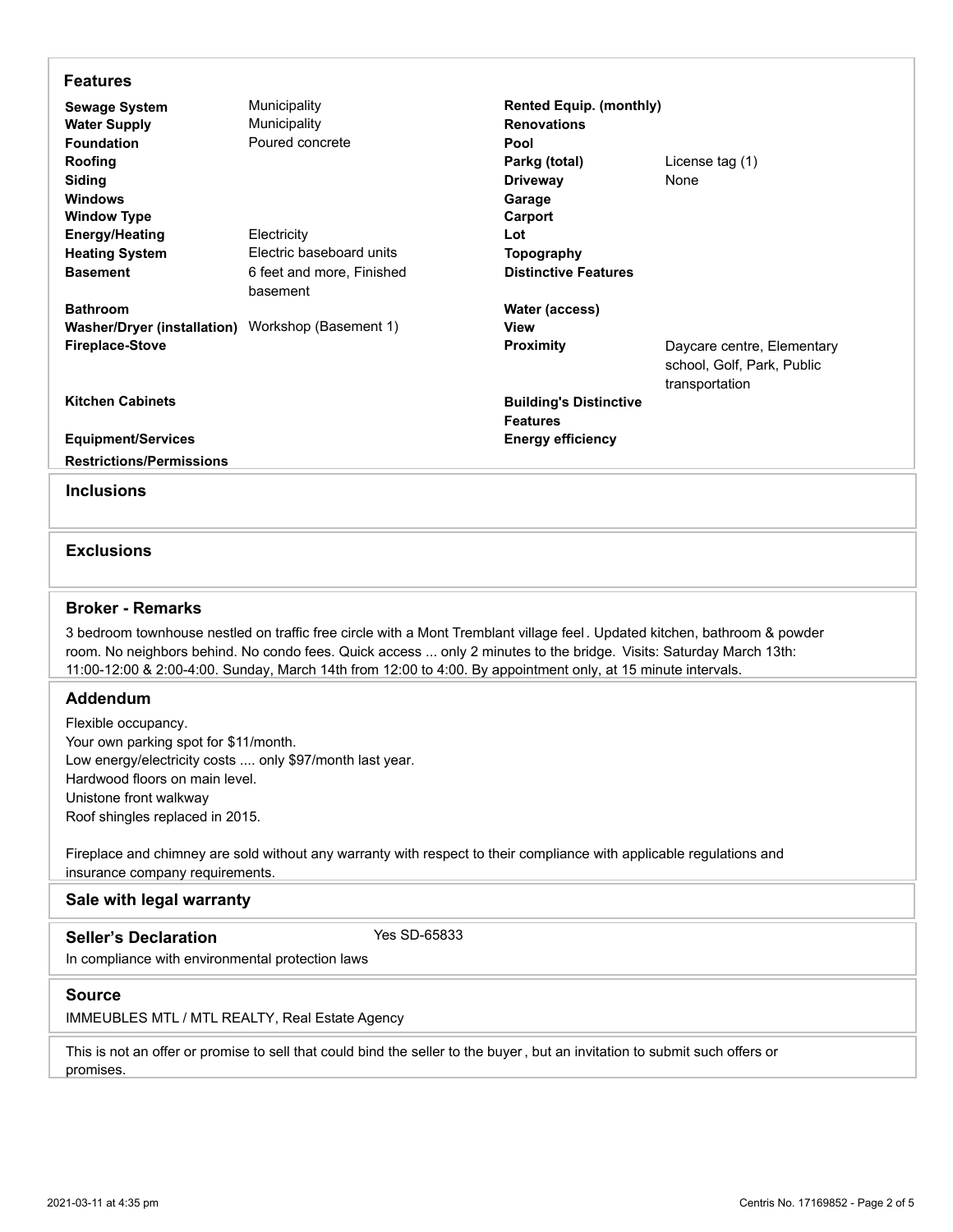| <b>Features</b>                                                                                                           |                           |                                |                            |  |  |  |  |
|---------------------------------------------------------------------------------------------------------------------------|---------------------------|--------------------------------|----------------------------|--|--|--|--|
| <b>Sewage System</b>                                                                                                      | Municipality              | <b>Rented Equip. (monthly)</b> |                            |  |  |  |  |
| <b>Water Supply</b>                                                                                                       | Municipality              | <b>Renovations</b>             |                            |  |  |  |  |
| <b>Foundation</b>                                                                                                         | Poured concrete           | Pool                           |                            |  |  |  |  |
| Roofing                                                                                                                   |                           | Parkg (total)                  | License tag (1)            |  |  |  |  |
| Siding                                                                                                                    |                           | <b>Driveway</b>                | None                       |  |  |  |  |
| <b>Windows</b>                                                                                                            |                           | Garage                         |                            |  |  |  |  |
| <b>Window Type</b>                                                                                                        |                           | Carport                        |                            |  |  |  |  |
| <b>Energy/Heating</b>                                                                                                     | Electricity               | Lot                            |                            |  |  |  |  |
| <b>Heating System</b>                                                                                                     | Electric baseboard units  | Topography                     |                            |  |  |  |  |
| <b>Basement</b>                                                                                                           | 6 feet and more, Finished | <b>Distinctive Features</b>    |                            |  |  |  |  |
|                                                                                                                           | basement                  |                                |                            |  |  |  |  |
| <b>Bathroom</b>                                                                                                           |                           | Water (access)                 |                            |  |  |  |  |
| Washer/Dryer (installation) Workshop (Basement 1)                                                                         |                           | <b>View</b>                    |                            |  |  |  |  |
| <b>Fireplace-Stove</b>                                                                                                    |                           | <b>Proximity</b>               | Daycare centre, Elementary |  |  |  |  |
|                                                                                                                           |                           |                                | school, Golf, Park, Public |  |  |  |  |
|                                                                                                                           |                           |                                | transportation             |  |  |  |  |
| <b>Kitchen Cabinets</b>                                                                                                   |                           | <b>Building's Distinctive</b>  |                            |  |  |  |  |
|                                                                                                                           |                           | <b>Features</b>                |                            |  |  |  |  |
| <b>Equipment/Services</b>                                                                                                 |                           | <b>Energy efficiency</b>       |                            |  |  |  |  |
| <b>Restrictions/Permissions</b>                                                                                           |                           |                                |                            |  |  |  |  |
|                                                                                                                           |                           |                                |                            |  |  |  |  |
| <b>Inclusions</b>                                                                                                         |                           |                                |                            |  |  |  |  |
|                                                                                                                           |                           |                                |                            |  |  |  |  |
| <b>Exclusions</b>                                                                                                         |                           |                                |                            |  |  |  |  |
|                                                                                                                           |                           |                                |                            |  |  |  |  |
| <b>Broker - Remarks</b>                                                                                                   |                           |                                |                            |  |  |  |  |
| 3 bedroom townhouse nestled on traffic free circle with a Mont Tremblant village feel. Updated kitchen, bathroom & powder |                           |                                |                            |  |  |  |  |
| room. No neighbors behind. No condo fees. Quick access  only 2 minutes to the bridge. Visits: Saturday March 13th:        |                           |                                |                            |  |  |  |  |
| 11:00-12:00 & 2:00-4:00. Sunday, March 14th from 12:00 to 4:00. By appointment only, at 15 minute intervals.              |                           |                                |                            |  |  |  |  |
|                                                                                                                           |                           |                                |                            |  |  |  |  |

## **Addendum**

Flexible occupancy. Your own parking spot for \$11/month. Low energy/electricity costs .... only \$97/month last year. Hardwood floors on main level. Unistone front walkway Roof shingles replaced in 2015.

Fireplace and chimney are sold without any warranty with respect to their compliance with applicable regulations and insurance company requirements.

## **Sale with legal warranty**

In compliance with environmental protection laws Seller's Declaration Yes SD-65833

## **Source**

IMMEUBLES MTL / MTL REALTY, Real Estate Agency

This is not an offer or promise to sell that could bind the seller to the buyer, but an invitation to submit such offers or promises.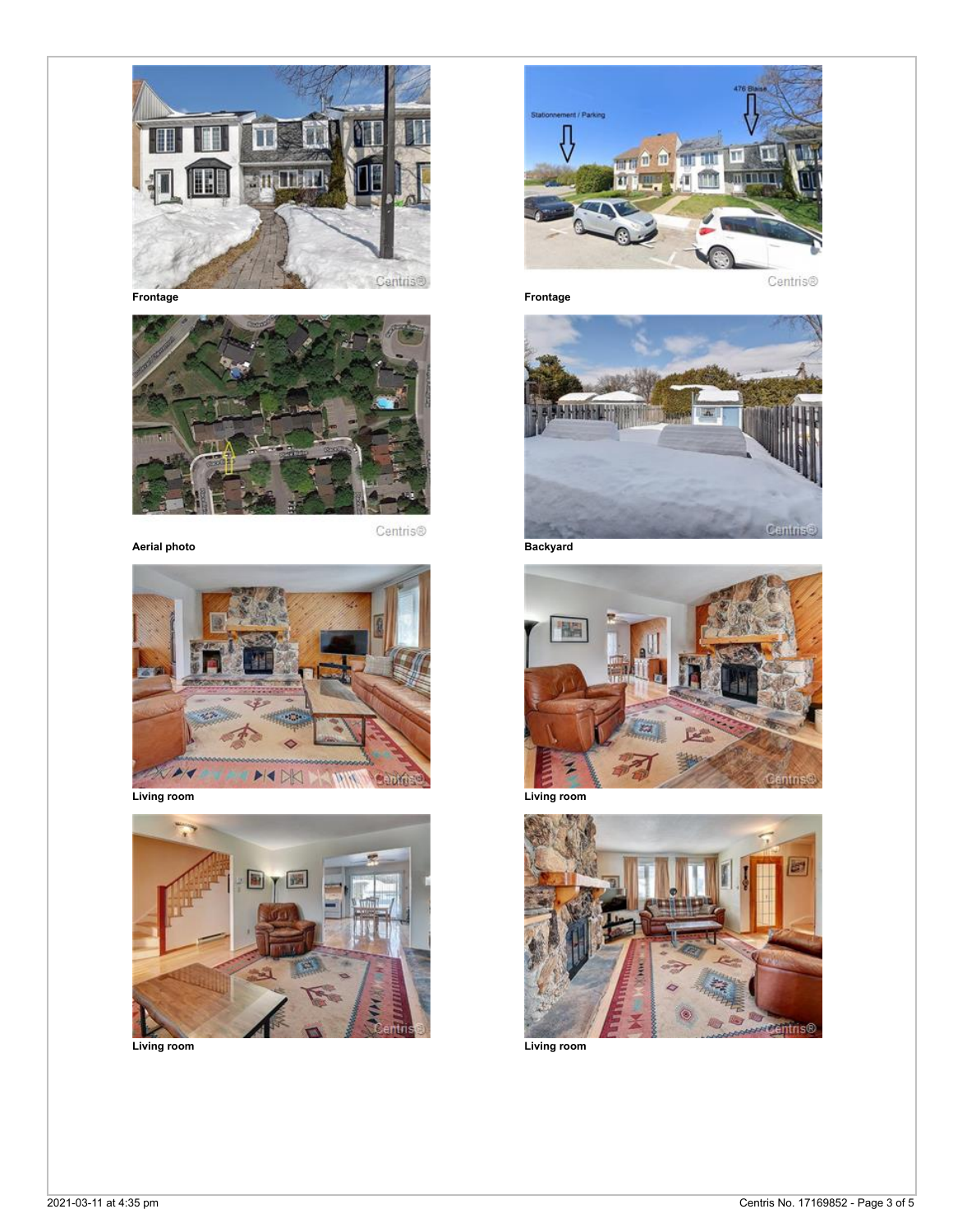



**Aerial photo Backyard**





**Living room Living room**



Centris®





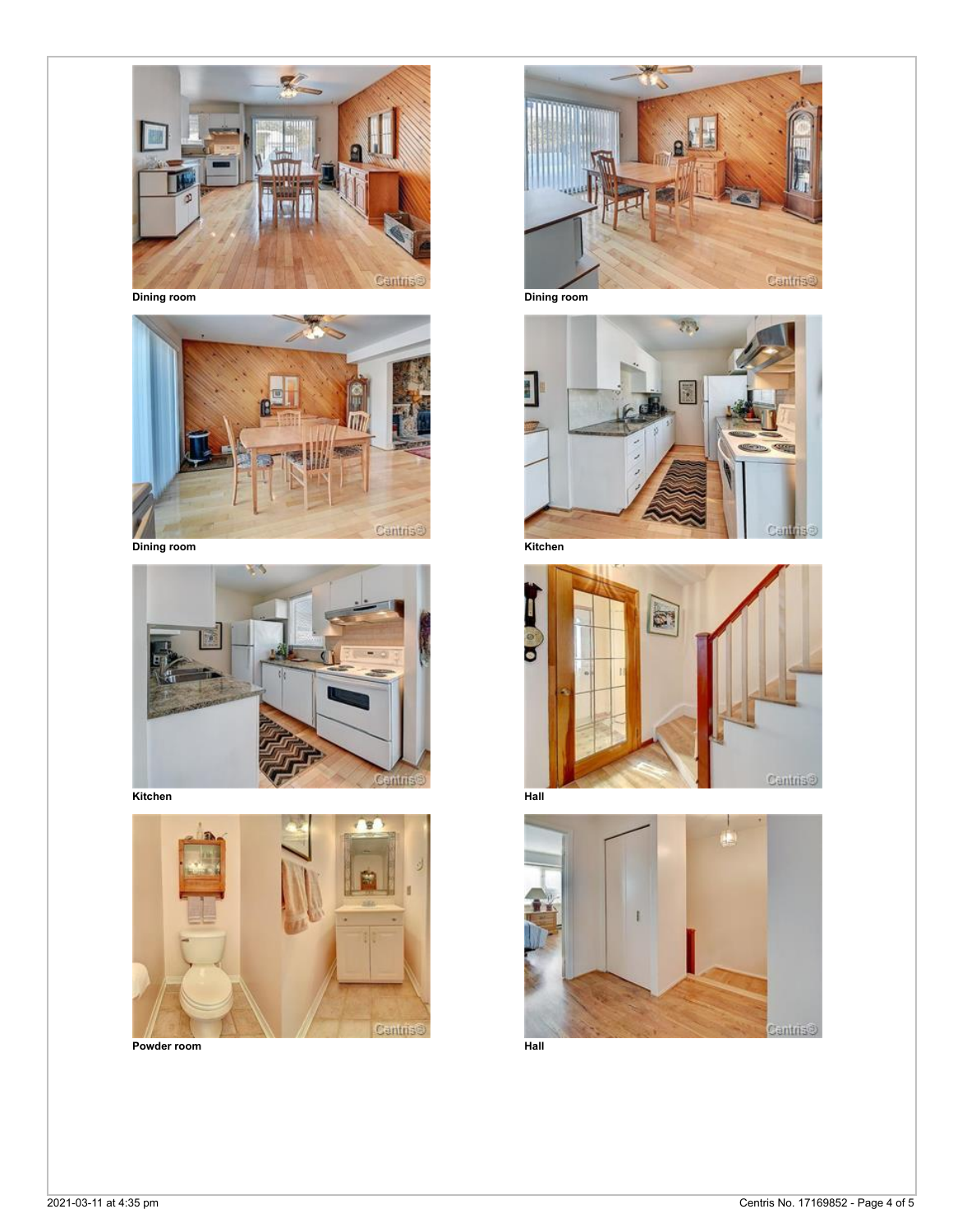